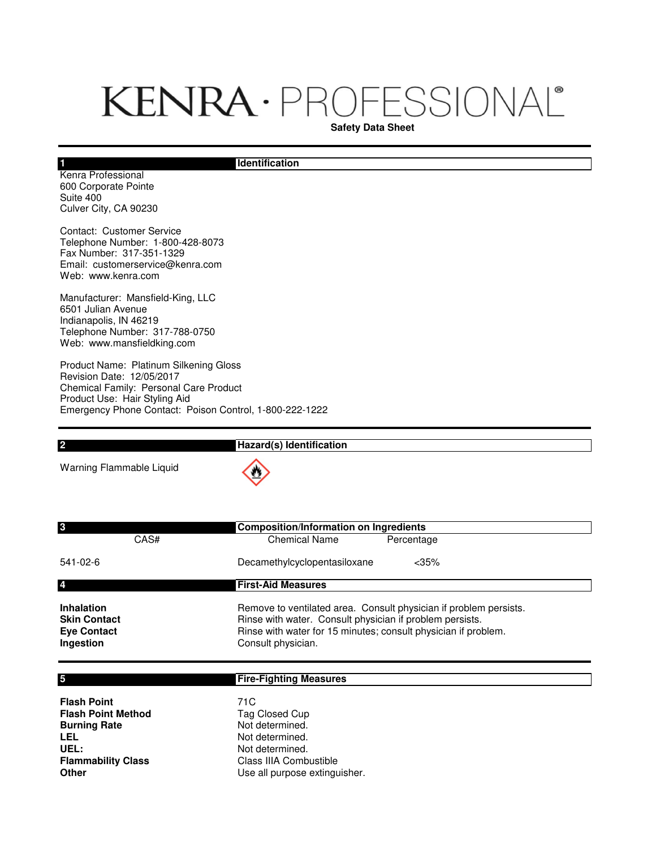## KENRA · PROFESSIONAL®

**Safety Data Sheet**

## **Identification**

Kenra Professional 600 Corporate Pointe Suite 400 Culver City, CA 90230

Contact: Customer Service Telephone Number: 1-800-428-8073 Fax Number: 317-351-1329 Email: customerservice@kenra.com Web: www.kenra.com

Manufacturer: Mansfield-King, LLC 6501 Julian Avenue Indianapolis, IN 46219 Telephone Number: 317-788-0750 Web: www.mansfieldking.com

Product Name: Platinum Silkening Gloss Revision Date: 12/05/2017 Chemical Family: Personal Care Product Product Use: Hair Styling Aid Emergency Phone Contact: Poison Control, 1-800-222-1222

| C                        | Hazard(s) Identification |
|--------------------------|--------------------------|
| Warning Flammable Liquid | $\langle \cdot \rangle$  |

| 3<br>CAS#                                | <b>Composition/Information on Ingredients</b><br><b>Chemical Name</b><br>Percentage                                           |
|------------------------------------------|-------------------------------------------------------------------------------------------------------------------------------|
| 541-02-6                                 | $<$ 35%<br>Decamethylcyclopentasiloxane                                                                                       |
| 4                                        | <b>First-Aid Measures</b>                                                                                                     |
| <b>Inhalation</b><br><b>Skin Contact</b> | Remove to ventilated area. Consult physician if problem persists.<br>Rinse with water. Consult physician if problem persists. |
| <b>Eye Contact</b><br>Ingestion          | Rinse with water for 15 minutes; consult physician if problem.<br>Consult physician.                                          |

| 5                         | <b>Fire-Fighting Measures</b> |
|---------------------------|-------------------------------|
|                           |                               |
| <b>Flash Point</b>        | 71C                           |
| <b>Flash Point Method</b> | Tag Closed Cup                |
| <b>Burning Rate</b>       | Not determined.               |
| <b>LEL</b>                | Not determined.               |
| UEL:                      | Not determined.               |
| <b>Flammability Class</b> | Class IIIA Combustible        |
| <b>Other</b>              | Use all purpose extinguisher. |

## **1**

**5**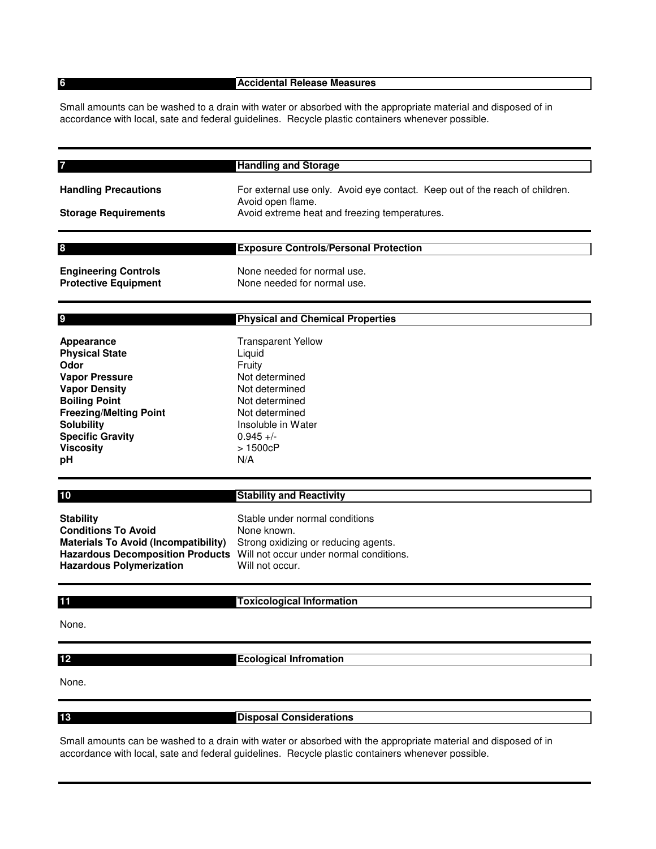**6**

## **Accidental Release Measures**

Small amounts can be washed to a drain with water or absorbed with the appropriate material and disposed of in accordance with local, sate and federal guidelines. Recycle plastic containers whenever possible.

|                                                                                                                                                                                                                                 | <b>Handling and Storage</b>                                                                                                                                                          |
|---------------------------------------------------------------------------------------------------------------------------------------------------------------------------------------------------------------------------------|--------------------------------------------------------------------------------------------------------------------------------------------------------------------------------------|
| <b>Handling Precautions</b><br><b>Storage Requirements</b>                                                                                                                                                                      | For external use only. Avoid eye contact. Keep out of the reach of children.<br>Avoid open flame.<br>Avoid extreme heat and freezing temperatures.                                   |
| 8                                                                                                                                                                                                                               | <b>Exposure Controls/Personal Protection</b>                                                                                                                                         |
| <b>Engineering Controls</b><br><b>Protective Equipment</b>                                                                                                                                                                      | None needed for normal use.<br>None needed for normal use.                                                                                                                           |
| 9                                                                                                                                                                                                                               | <b>Physical and Chemical Properties</b>                                                                                                                                              |
| Appearance<br><b>Physical State</b><br>Odor<br><b>Vapor Pressure</b><br><b>Vapor Density</b><br><b>Boiling Point</b><br><b>Freezing/Melting Point</b><br><b>Solubility</b><br><b>Specific Gravity</b><br><b>Viscosity</b><br>рH | <b>Transparent Yellow</b><br>Liquid<br>Fruity<br>Not determined<br>Not determined<br>Not determined<br>Not determined<br>Insoluble in Water<br>$0.945 +/-$<br>>1500cP<br>N/A         |
| 10                                                                                                                                                                                                                              | <b>Stability and Reactivity</b>                                                                                                                                                      |
| <b>Stability</b><br><b>Conditions To Avoid</b><br><b>Materials To Avoid (Incompatibility)</b><br><b>Hazardous Polymerization</b>                                                                                                | Stable under normal conditions<br>None known.<br>Strong oxidizing or reducing agents.<br>Hazardous Decomposition Products Will not occur under normal conditions.<br>Will not occur. |
| 11                                                                                                                                                                                                                              | <b>Toxicological Information</b>                                                                                                                                                     |
| None.                                                                                                                                                                                                                           |                                                                                                                                                                                      |
|                                                                                                                                                                                                                                 |                                                                                                                                                                                      |

**12**

**Ecological Infromation**

None.

**13**

**Disposal Considerations**

Small amounts can be washed to a drain with water or absorbed with the appropriate material and disposed of in accordance with local, sate and federal guidelines. Recycle plastic containers whenever possible.